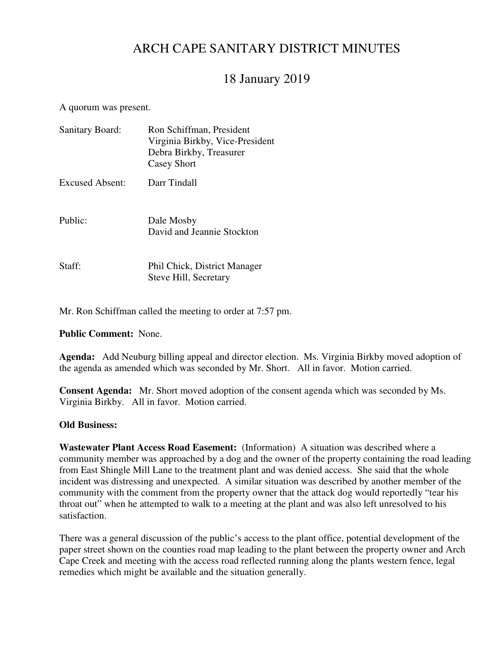# ARCH CAPE SANITARY DISTRICT MINUTES

# 18 January 2019

#### A quorum was present.

| <b>Sanitary Board:</b> | Ron Schiffman, President<br>Virginia Birkby, Vice-President<br>Debra Birkby, Treasurer<br>Casey Short |  |  |  |
|------------------------|-------------------------------------------------------------------------------------------------------|--|--|--|
| Excused Absent:        | Darr Tindall                                                                                          |  |  |  |
| Public:                | Dale Mosby<br>David and Jeannie Stockton                                                              |  |  |  |
| Staff:                 | Phil Chick, District Manager<br>Steve Hill, Secretary                                                 |  |  |  |

Mr. Ron Schiffman called the meeting to order at 7:57 pm.

**Public Comment:** None.

**Agenda:** Add Neuburg billing appeal and director election. Ms. Virginia Birkby moved adoption of the agenda as amended which was seconded by Mr. Short. All in favor. Motion carried.

**Consent Agenda:** Mr. Short moved adoption of the consent agenda which was seconded by Ms. Virginia Birkby. All in favor. Motion carried.

#### **Old Business:**

**Wastewater Plant Access Road Easement:** (Information) A situation was described where a community member was approached by a dog and the owner of the property containing the road leading from East Shingle Mill Lane to the treatment plant and was denied access. She said that the whole incident was distressing and unexpected. A similar situation was described by another member of the community with the comment from the property owner that the attack dog would reportedly "tear his throat out" when he attempted to walk to a meeting at the plant and was also left unresolved to his satisfaction.

There was a general discussion of the public's access to the plant office, potential development of the paper street shown on the counties road map leading to the plant between the property owner and Arch Cape Creek and meeting with the access road reflected running along the plants western fence, legal remedies which might be available and the situation generally.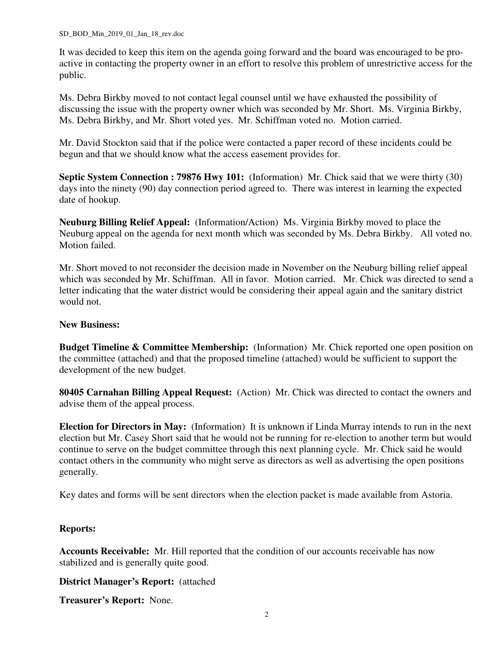It was decided to keep this item on the agenda going forward and the board was encouraged to be proactive in contacting the property owner in an effort to resolve this problem of unrestrictive access for the public.

Ms. Debra Birkby moved to not contact legal counsel until we have exhausted the possibility of discussing the issue with the property owner which was seconded by Mr. Short. Ms. Virginia Birkby, Ms. Debra Birkby, and Mr. Short voted yes. Mr. Schiffman voted no. Motion carried.

Mr. David Stockton said that if the police were contacted a paper record of these incidents could be begun and that we should know what the access easement provides for.

**Septic System Connection : 79876 Hwy 101:** (Information) Mr. Chick said that we were thirty (30) days into the ninety (90) day connection period agreed to. There was interest in learning the expected date of hookup.

**Neuburg Billing Relief Appeal:** (Information/Action) Ms. Virginia Birkby moved to place the Neuburg appeal on the agenda for next month which was seconded by Ms. Debra Birkby. All voted no. Motion failed.

Mr. Short moved to not reconsider the decision made in November on the Neuburg billing relief appeal which was seconded by Mr. Schiffman. All in favor. Motion carried. Mr. Chick was directed to send a letter indicating that the water district would be considering their appeal again and the sanitary district would not.

### **New Business:**

**Budget Timeline & Committee Membership:** (Information) Mr. Chick reported one open position on the committee (attached) and that the proposed timeline (attached) would be sufficient to support the development of the new budget.

**80405 Carnahan Billing Appeal Request:** (Action) Mr. Chick was directed to contact the owners and advise them of the appeal process.

**Election for Directors in May:** (Information) It is unknown if Linda Murray intends to run in the next election but Mr. Casey Short said that he would not be running for re-election to another term but would continue to serve on the budget committee through this next planning cycle. Mr. Chick said he would contact others in the community who might serve as directors as well as advertising the open positions generally.

Key dates and forms will be sent directors when the election packet is made available from Astoria.

### **Reports:**

**Accounts Receivable:** Mr. Hill reported that the condition of our accounts receivable has now stabilized and is generally quite good.

**District Manager's Report:** (attached

**Treasurer's Report:** None.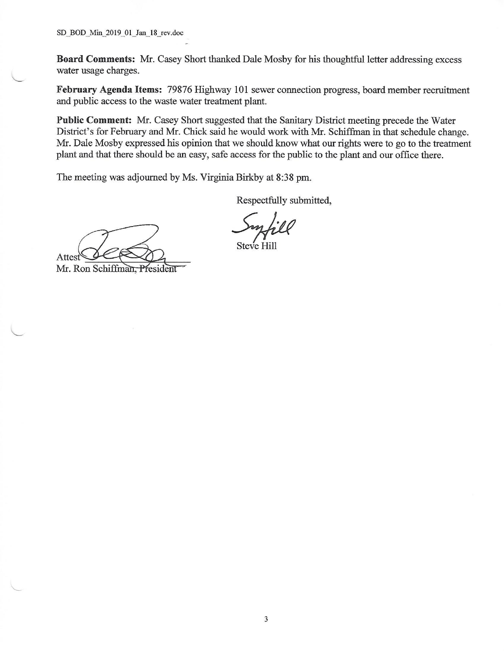SD BOD Min 2019 01 Jan 18 rev.doc

Board Comments: Mr. Casey Short thanked Dale Mosby for his thoughtful letter addressing excess water usage charges.

February Agenda Items: 79876 Highway 101 sewer connection progress, board member recruitment and public access to the waste water treatment plant.

**Public Comment:** Mr. Casey Short suggested that the Sanitary District meeting precede the Water District's for February and Mr. Chick said he would work with Mr. Schiffman in that schedule change. Mr. Dale Mosby expressed his opinion that we should know what our rights were to go to the treatment plant and that there should be an easy, safe access for the public to the plant and our office there.

The meeting was adjourned by Ms. Virginia Birkby at 8:38 pm.

Respectfully submitted,

Attest

Mr. Ron Schiffman, President

Steve Hil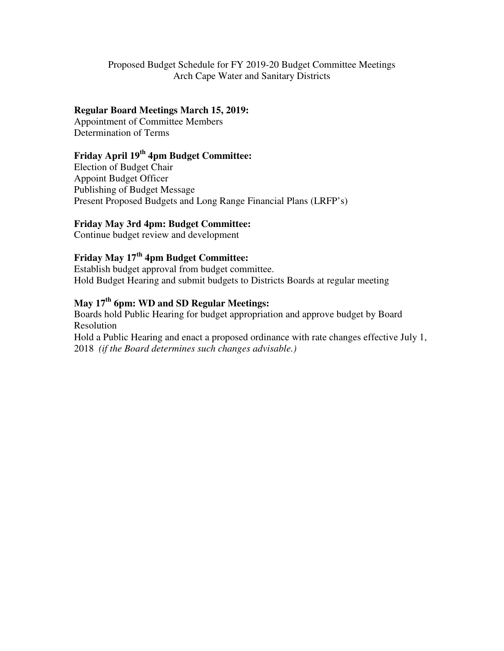Proposed Budget Schedule for FY 2019-20 Budget Committee Meetings Arch Cape Water and Sanitary Districts

### **Regular Board Meetings March 15, 2019:**

Appointment of Committee Members Determination of Terms

## **Friday April 19th 4pm Budget Committee:**

Election of Budget Chair Appoint Budget Officer Publishing of Budget Message Present Proposed Budgets and Long Range Financial Plans (LRFP's)

### **Friday May 3rd 4pm: Budget Committee:**

Continue budget review and development

## **Friday May 17th 4pm Budget Committee:**

Establish budget approval from budget committee. Hold Budget Hearing and submit budgets to Districts Boards at regular meeting

## **May 17th 6pm: WD and SD Regular Meetings:**

Boards hold Public Hearing for budget appropriation and approve budget by Board Resolution

Hold a Public Hearing and enact a proposed ordinance with rate changes effective July 1, 2018 *(if the Board determines such changes advisable.)*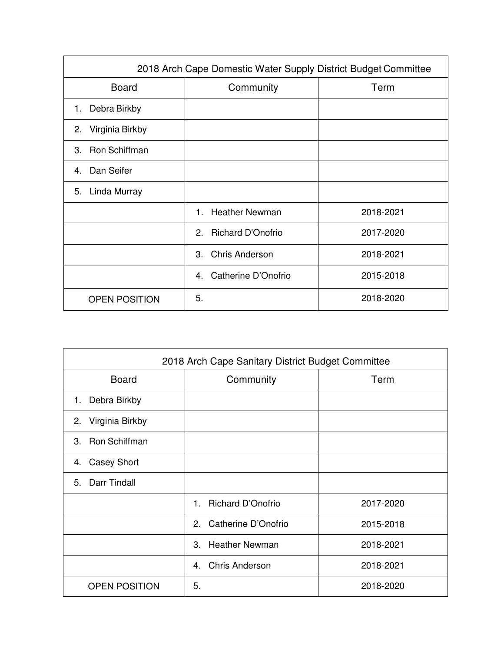| 2018 Arch Cape Domestic Water Supply District Budget Committee |                                |           |  |  |  |  |
|----------------------------------------------------------------|--------------------------------|-----------|--|--|--|--|
| <b>Board</b>                                                   | Community<br>Term              |           |  |  |  |  |
| Debra Birkby<br>1.                                             |                                |           |  |  |  |  |
| Virginia Birkby<br>2.                                          |                                |           |  |  |  |  |
| Ron Schiffman<br>3.                                            |                                |           |  |  |  |  |
| Dan Seifer<br>4                                                |                                |           |  |  |  |  |
| Linda Murray<br>5.                                             |                                |           |  |  |  |  |
|                                                                | <b>Heather Newman</b><br>$1 -$ | 2018-2021 |  |  |  |  |
|                                                                | <b>Richard D'Onofrio</b><br>2. | 2017-2020 |  |  |  |  |
|                                                                | <b>Chris Anderson</b><br>3.    | 2018-2021 |  |  |  |  |
|                                                                | Catherine D'Onofrio<br>4.      | 2015-2018 |  |  |  |  |
| <b>OPEN POSITION</b>                                           | 5.                             | 2018-2020 |  |  |  |  |

| 2018 Arch Cape Sanitary District Budget Committee |                                   |           |  |  |  |  |
|---------------------------------------------------|-----------------------------------|-----------|--|--|--|--|
| <b>Board</b>                                      | Community                         | Term      |  |  |  |  |
| Debra Birkby<br>1.                                |                                   |           |  |  |  |  |
| 2. Virginia Birkby                                |                                   |           |  |  |  |  |
| <b>Ron Schiffman</b><br>3.                        |                                   |           |  |  |  |  |
| <b>Casey Short</b><br>4.                          |                                   |           |  |  |  |  |
| Darr Tindall<br>5.                                |                                   |           |  |  |  |  |
|                                                   | <b>Richard D'Onofrio</b><br>$1 -$ | 2017-2020 |  |  |  |  |
|                                                   | Catherine D'Onofrio<br>2.         | 2015-2018 |  |  |  |  |
|                                                   | 3. Heather Newman                 | 2018-2021 |  |  |  |  |
|                                                   | <b>Chris Anderson</b><br>4        | 2018-2021 |  |  |  |  |
| <b>OPEN POSITION</b>                              | 5.                                | 2018-2020 |  |  |  |  |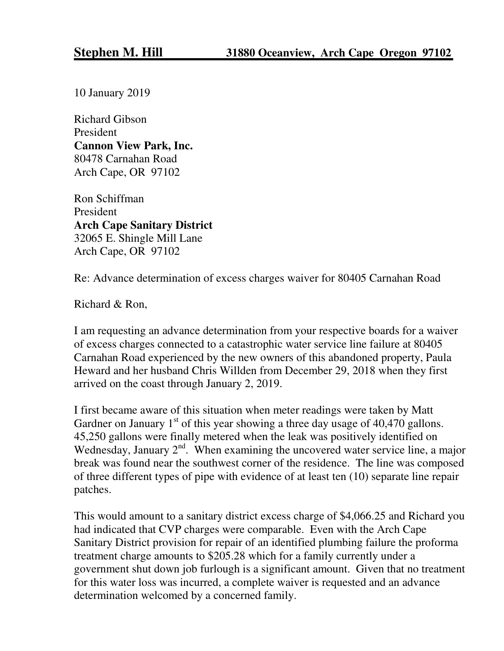10 January 2019

Richard Gibson President **Cannon View Park, Inc.**  80478 Carnahan Road Arch Cape, OR 97102

Ron Schiffman President **Arch Cape Sanitary District**  32065 E. Shingle Mill Lane Arch Cape, OR 97102

Re: Advance determination of excess charges waiver for 80405 Carnahan Road

Richard & Ron,

I am requesting an advance determination from your respective boards for a waiver of excess charges connected to a catastrophic water service line failure at 80405 Carnahan Road experienced by the new owners of this abandoned property, Paula Heward and her husband Chris Willden from December 29, 2018 when they first arrived on the coast through January 2, 2019.

I first became aware of this situation when meter readings were taken by Matt Gardner on January  $1<sup>st</sup>$  of this year showing a three day usage of 40,470 gallons. 45,250 gallons were finally metered when the leak was positively identified on Wednesday, January  $2<sup>nd</sup>$ . When examining the uncovered water service line, a major break was found near the southwest corner of the residence. The line was composed of three different types of pipe with evidence of at least ten (10) separate line repair patches.

This would amount to a sanitary district excess charge of \$4,066.25 and Richard you had indicated that CVP charges were comparable. Even with the Arch Cape Sanitary District provision for repair of an identified plumbing failure the proforma treatment charge amounts to \$205.28 which for a family currently under a government shut down job furlough is a significant amount. Given that no treatment for this water loss was incurred, a complete waiver is requested and an advance determination welcomed by a concerned family.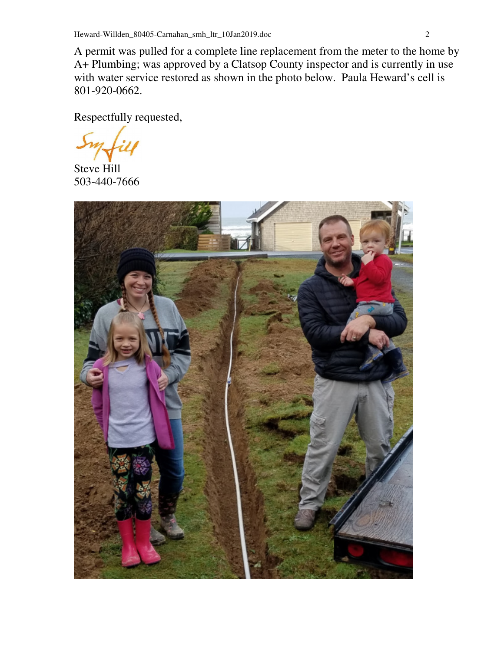A permit was pulled for a complete line replacement from the meter to the home by A+ Plumbing; was approved by a Clatsop County inspector and is currently in use with water service restored as shown in the photo below. Paula Heward's cell is 801-920-0662.

Respectfully requested,

Steve Hill 503-440-7666

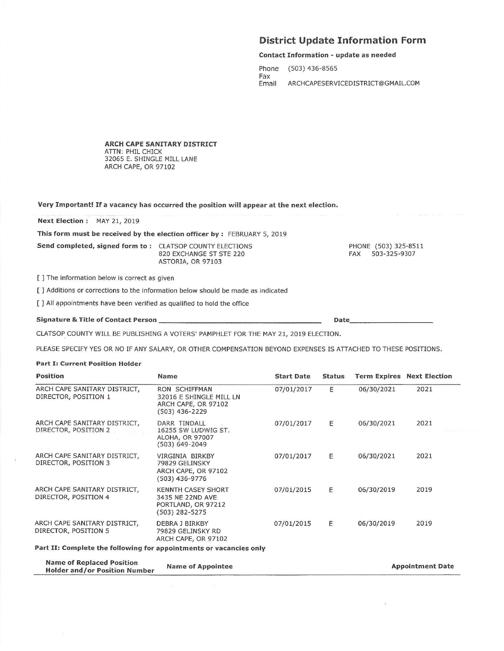#### **District Update Information Form**

#### **Contact Information - update as needed**

Phone  $(503)$  436-8565 Fax Email ARCHCAPESERVICEDISTRICT@GMAIL.COM

Date\_

**ARCH CAPE SANITARY DISTRICT** ATTN: PHIL CHICK 32065 E. SHINGLE MILL LANE ARCH CAPE, OR 97102

Very Important! If a vacancy has occurred the position will appear at the next election.

Next Election: MAY 21, 2019

This form must be received by the election officer by : FEBRUARY 5, 2019

Send completed, signed form to: CLATSOP COUNTY ELECTIONS

820 EXCHANGE ST STE 220 ASTORIA, OR 97103

PHONE (503) 325-8511 FAX 503-325-9307

**Appointment Date** 

[] The information below is correct as given

[ ] Additions or corrections to the information below should be made as indicated

[ ] All appointments have been verified as qualified to hold the office

#### Signature & Title of Contact Person \_

CLATSOP COUNTY WILL BE PUBLISHING A VOTERS' PAMPHLET FOR THE MAY 21, 2019 ELECTION.

**Name of Appointee** 

PLEASE SPECIFY YES OR NO IF ANY SALARY, OR OTHER COMPENSATION BEYOND EXPENSES IS ATTACHED TO THESE POSITIONS.

#### **Part I: Current Position Holder**

**Name of Replaced Position** 

**Holder and/or Position Number** 

| <b>Position</b>                                                    | Name                                                                                  | <b>Start Date</b> | <b>Status</b> |            | <b>Term Expires Next Election</b> |  |
|--------------------------------------------------------------------|---------------------------------------------------------------------------------------|-------------------|---------------|------------|-----------------------------------|--|
| ARCH CAPE SANITARY DISTRICT,<br>DIRECTOR, POSITION 1               | RON SCHIFFMAN<br>32016 E SHINGLE MILL LN<br>ARCH CAPE, OR 97102<br>(503) 436-2229     | 07/01/2017        | E             | 06/30/2021 | 2021                              |  |
| ARCH CAPE SANITARY DISTRICT,<br>DIRECTOR, POSITION 2               | DARR TINDALL<br>16255 SW LUDWIG ST.<br>ALOHA, OR 97007<br>(503) 649-2049              | 07/01/2017        | E             | 06/30/2021 | 2021                              |  |
| ARCH CAPE SANITARY DISTRICT.<br>DIRECTOR, POSITION 3               | VIRGINIA BIRKBY<br>79829 GELINSKY<br>ARCH CAPE, OR 97102<br>(503) 436-9776            | 07/01/2017        | E             | 06/30/2021 | 2021                              |  |
| ARCH CAPE SANITARY DISTRICT,<br>DIRECTOR, POSITION 4               | <b>KENNTH CASEY SHORT</b><br>3435 NE 22ND AVE<br>PORTLAND, OR 97212<br>(503) 282-5275 | 07/01/2015        | E             | 06/30/2019 | 2019                              |  |
| ARCH CAPE SANITARY DISTRICT,<br>DIRECTOR, POSITION 5               | DEBRA J BIRKBY<br>79829 GELINSKY RD<br>ARCH CAPE, OR 97102                            | 07/01/2015        | E             | 06/30/2019 | 2019                              |  |
| Part II: Complete the following for appointments or vacancies only |                                                                                       |                   |               |            |                                   |  |